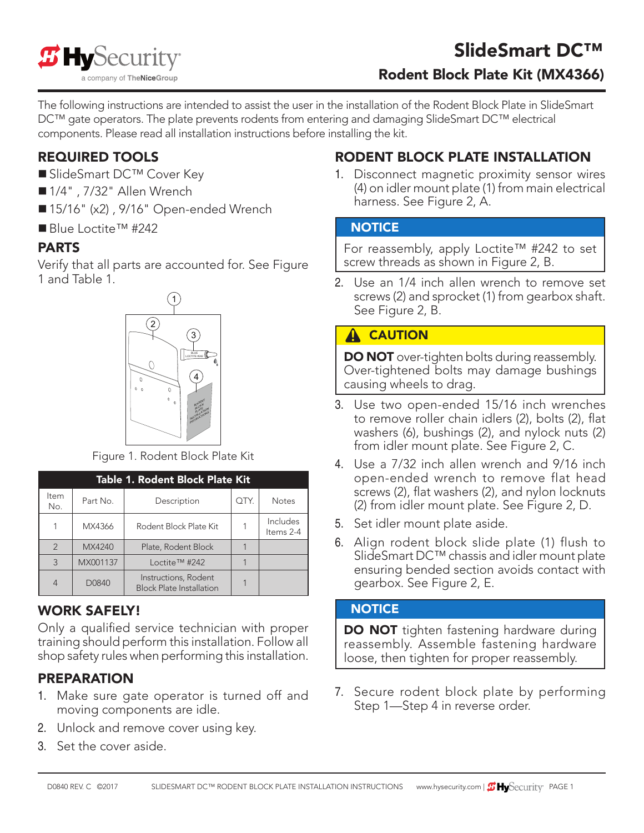

The following instructions are intended to assist the user in the installation of the Rodent Block Plate in SlideSmart DC™ gate operators. The plate prevents rodents from entering and damaging SlideSmart DC™ electrical components. Please read all installation instructions before installing the kit.

### REQUIRED TOOLS

- SlideSmart DC™ Cover Key
- 1/4", 7/32" Allen Wrench
- 15/16" (x2), 9/16" Open-ended Wrench
- Blue Loctite™ #242

# PARTS

Verify that all parts are accounted for. See Figure 1 and Table 1.



Figure 1. Rodent Block Plate Kit

| Table 1. Rodent Block Plate Kit |          |                                                         |      |                       |
|---------------------------------|----------|---------------------------------------------------------|------|-----------------------|
| ltem<br>No.                     | Part No. | Description                                             | OTY. | <b>Notes</b>          |
|                                 | MX4366   | Rodent Block Plate Kit                                  |      | Includes<br>Items 2-4 |
| $\mathfrak{D}$                  | MX4240   | Plate, Rodent Block                                     |      |                       |
| 3                               | MX001137 | Loctite <sup>TM</sup> #242                              |      |                       |
| $\overline{4}$                  | D0840    | Instructions, Rodent<br><b>Block Plate Installation</b> |      |                       |

#### WORK SAFELY!

Only a qualified service technician with proper training should perform this installation. Follow all shop safety rules when performing this installation.

# PREPARATION

- 1. Make sure gate operator is turned off and moving components are idle.
- 2. Unlock and remove cover using key.
- 3. Set the cover aside.

# RODENT BLOCK PLATE INSTALLATION

1. Disconnect magnetic proximity sensor wires (4) on idler mount plate (1) from main electrical harness. See Figure 2, A.

#### **NOTICE**

For reassembly, apply Loctite™ #242 to set screw threads as shown in Figure 2, B.

2. Use an 1/4 inch allen wrench to remove set screws (2) and sprocket (1) from gearbox shaft. See Figure 2, B.

### **A** CAUTION

**DO NOT** over-tighten bolts during reassembly. Over-tightened bolts may damage bushings causing wheels to drag.

- 3. Use two open-ended 15/16 inch wrenches to remove roller chain idlers (2), bolts (2), flat washers (6), bushings (2), and nylock nuts (2) from idler mount plate. See Figure 2, C.
- 4. Use a 7/32 inch allen wrench and 9/16 inch open-ended wrench to remove flat head screws (2), flat washers (2), and nylon locknuts (2) from idler mount plate. See Figure 2, D.
- 5. Set idler mount plate aside.
- 6. Align rodent block slide plate (1) flush to SlideSmart DC™ chassis and idler mount plate ensuring bended section avoids contact with gearbox. See Figure 2, E.

#### **NOTICE**

DO NOT tighten fastening hardware during reassembly. Assemble fastening hardware loose, then tighten for proper reassembly.

7. Secure rodent block plate by performing Step 1—Step 4 in reverse order.